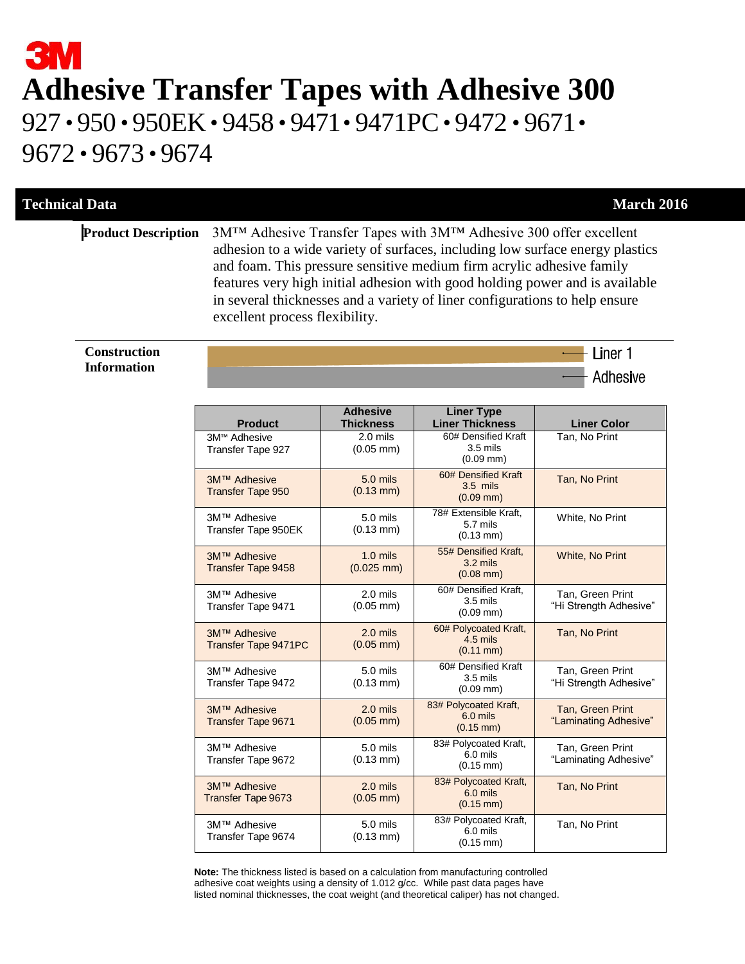# **3M Adhesive Transfer Tapes with Adhesive 300** 927 • 950 • 950EK• 9458 • 9471• 9471PC• 9472 • 9671• 9672 • 9673 • 9674

#### **Technical Data** March 2016

- Liner 1

**Adhesive** 

**Product Description** 3M™ Adhesive Transfer Tapes with 3M™ Adhesive 300 offer excellent adhesion to a wide variety of surfaces, including low surface energy plastics and foam. This pressure sensitive medium firm acrylic adhesive family features very high initial adhesion with good holding power and is available in several thicknesses and a variety of liner configurations to help ensure excellent process flexibility.

#### **Construction Information**

| <b>Product</b>                                       | <b>Adhesive</b><br><b>Thickness</b>            | <b>Liner Type</b><br><b>Liner Thickness</b>                | <b>Liner Color</b>                         |
|------------------------------------------------------|------------------------------------------------|------------------------------------------------------------|--------------------------------------------|
| 3M <sup>™</sup> Adhesive<br><b>Transfer Tape 927</b> | $2.0 \overline{\text{mils}}$<br>$(0.05$ mm $)$ | 60# Densified Kraft<br>$3.5$ mils<br>$(0.09$ mm $)$        | Tan. No Print                              |
| 3M™ Adhesive<br><b>Transfer Tape 950</b>             | 5.0 mils<br>$(0.13 \, \text{mm})$              | 60# Densified Kraft<br>$3.5$ mils<br>$(0.09$ mm)           | Tan, No Print                              |
| 3M™ Adhesive<br>Transfer Tape 950EK                  | $5.0$ mils<br>$(0.13 \, \text{mm})$            | 78# Extensible Kraft.<br>5.7 mils<br>$(0.13 \text{ mm})$   | White, No Print                            |
| 3M™ Adhesive<br><b>Transfer Tape 9458</b>            | $1.0$ mils<br>$(0.025$ mm)                     | 55# Densified Kraft.<br>$3.2$ mils<br>$(0.08$ mm $)$       | <b>White, No Print</b>                     |
| 3M™ Adhesive<br>Transfer Tape 9471                   | 2.0 mils<br>$(0.05$ mm $)$                     | 60# Densified Kraft.<br>$3.5$ mils<br>$(0.09$ mm $)$       | Tan, Green Print<br>"Hi Strength Adhesive" |
| 3M™ Adhesive<br><b>Transfer Tape 9471PC</b>          | $2.0$ mils<br>$(0.05$ mm $)$                   | 60# Polycoated Kraft,<br>$4.5$ mils<br>$(0.11$ mm $)$      | Tan, No Print                              |
| 3M™ Adhesive<br>Transfer Tape 9472                   | $5.0$ mils<br>$(0.13 \text{ mm})$              | 60# Densified Kraft<br>$3.5$ mils<br>$(0.09$ mm $)$        | Tan, Green Print<br>"Hi Strength Adhesive" |
| 3M™ Adhesive<br>Transfer Tape 9671                   | $2.0$ mils<br>$(0.05$ mm $)$                   | 83# Polycoated Kraft,<br>6.0 mils<br>$(0.15 \, \text{mm})$ | Tan, Green Print<br>"Laminating Adhesive"  |
| 3M™ Adhesive<br>Transfer Tape 9672                   | 5.0 mils<br>$(0.13 \, \text{mm})$              | 83# Polycoated Kraft,<br>6.0 mils<br>$(0.15 \, \text{mm})$ | Tan, Green Print<br>"Laminating Adhesive"  |
| 3M™ Adhesive<br><b>Transfer Tape 9673</b>            | $2.0$ mils<br>$(0.05$ mm $)$                   | 83# Polycoated Kraft,<br>6.0 mils<br>$(0.15 \text{ mm})$   | Tan, No Print                              |
| 3M™ Adhesive<br>Transfer Tape 9674                   | 5.0 mils<br>$(0.13 \, \text{mm})$              | 83# Polycoated Kraft,<br>6.0 mils<br>$(0.15 \, \text{mm})$ | Tan, No Print                              |

 **Note:** The thickness listed is based on a calculation from manufacturing controlled adhesive coat weights using a density of 1.012 g/cc. While past data pages have listed nominal thicknesses, the coat weight (and theoretical caliper) has not changed.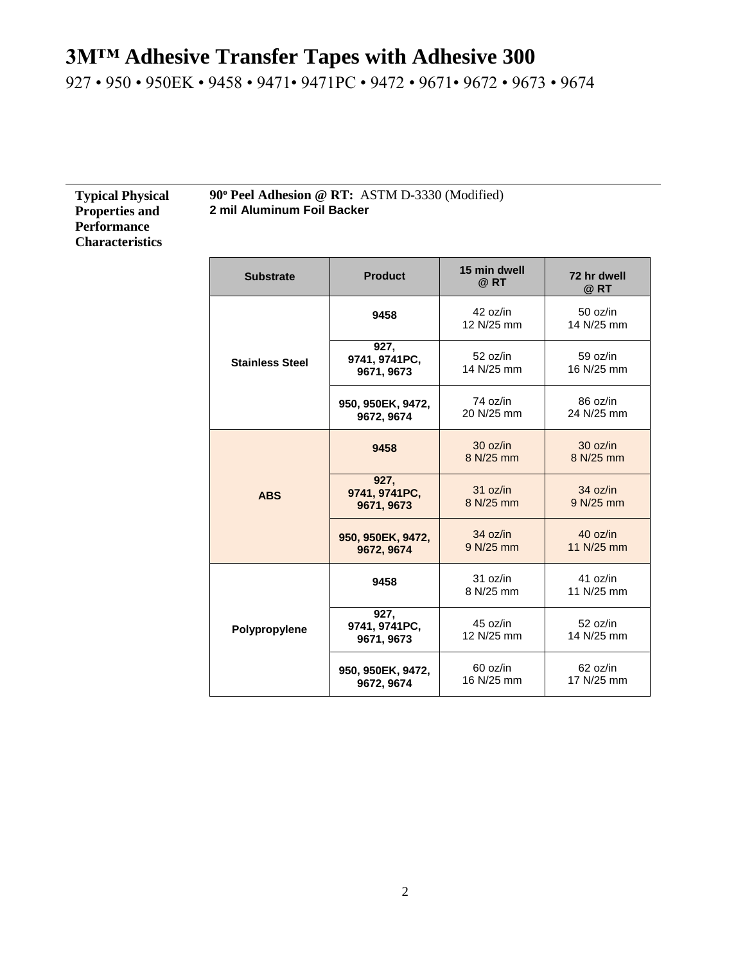927 • 950 • 950EK • 9458 • 9471• 9471PC • 9472 • 9671• 9672 • 9673 • 9674

| <b>Typical Physical</b> |
|-------------------------|
| <b>Properties and</b>   |
| <b>Performance</b>      |
| <b>Characteristics</b>  |

**90<sup>o</sup> Peel Adhesion @ RT:** ASTM D-3330 (Modified) **2 mil Aluminum Foil Backer**

| <b>Substrate</b>       | <b>Product</b>                      | 15 min dwell<br>$@$ RT | 72 hr dwell<br>@RT     |
|------------------------|-------------------------------------|------------------------|------------------------|
|                        | 9458                                | 42 oz/in<br>12 N/25 mm | 50 oz/in<br>14 N/25 mm |
| <b>Stainless Steel</b> | 927,<br>9741, 9741PC,<br>9671, 9673 | 52 oz/in<br>14 N/25 mm | 59 oz/in<br>16 N/25 mm |
|                        | 950, 950EK, 9472,<br>9672, 9674     | 74 oz/in<br>20 N/25 mm | 86 oz/in<br>24 N/25 mm |
|                        | 9458                                | 30 oz/in<br>8 N/25 mm  | 30 oz/in<br>8 N/25 mm  |
| <b>ABS</b>             | 927.<br>9741, 9741PC,<br>9671, 9673 | 31 oz/in<br>8 N/25 mm  | 34 oz/in<br>9 N/25 mm  |
|                        | 950, 950EK, 9472,<br>9672, 9674     | 34 oz/in<br>9 N/25 mm  | 40 oz/in<br>11 N/25 mm |
|                        | 9458                                | 31 oz/in<br>8 N/25 mm  | 41 oz/in<br>11 N/25 mm |
| Polypropylene          | 927,<br>9741, 9741PC,<br>9671, 9673 | 45 oz/in<br>12 N/25 mm | 52 oz/in<br>14 N/25 mm |
|                        | 950, 950EK, 9472,<br>9672, 9674     | 60 oz/in<br>16 N/25 mm | 62 oz/in<br>17 N/25 mm |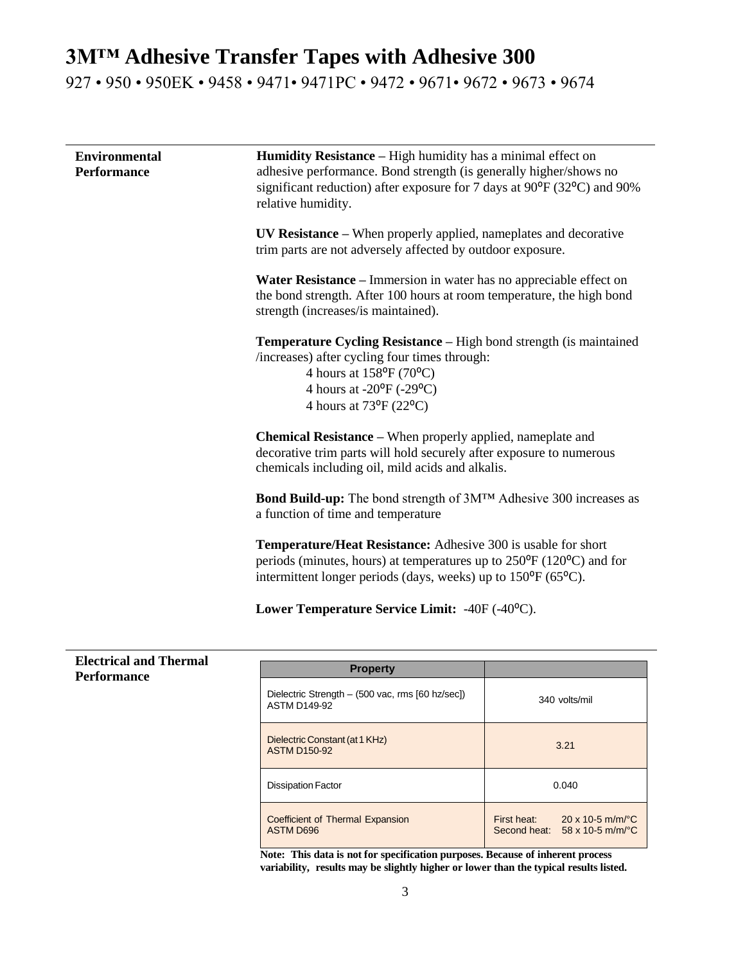927 • 950 • 950EK • 9458 • 9471• 9471PC • 9472 • 9671• 9672 • 9673 • 9674

| <b>Environmental</b><br><b>Performance</b> | <b>Humidity Resistance</b> – High humidity has a minimal effect on<br>adhesive performance. Bond strength (is generally higher/shows no<br>significant reduction) after exposure for 7 days at 90 <sup>o</sup> F (32 <sup>o</sup> C) and 90%<br>relative humidity.<br>UV Resistance – When properly applied, nameplates and decorative<br>trim parts are not adversely affected by outdoor exposure.<br>Water Resistance – Immersion in water has no appreciable effect on<br>the bond strength. After 100 hours at room temperature, the high bond<br>strength (increases/is maintained).<br><b>Temperature Cycling Resistance – High bond strength (is maintained)</b><br>/increases) after cycling four times through:<br>4 hours at $158^{\circ}F(70^{\circ}C)$<br>4 hours at -20°F (-29°C)<br>4 hours at 73 <sup>o</sup> F (22 <sup>o</sup> C) |
|--------------------------------------------|-----------------------------------------------------------------------------------------------------------------------------------------------------------------------------------------------------------------------------------------------------------------------------------------------------------------------------------------------------------------------------------------------------------------------------------------------------------------------------------------------------------------------------------------------------------------------------------------------------------------------------------------------------------------------------------------------------------------------------------------------------------------------------------------------------------------------------------------------------|
|                                            | <b>Chemical Resistance</b> – When properly applied, nameplate and<br>decorative trim parts will hold securely after exposure to numerous<br>chemicals including oil, mild acids and alkalis.<br><b>Bond Build-up:</b> The bond strength of 3M™ Adhesive 300 increases as                                                                                                                                                                                                                                                                                                                                                                                                                                                                                                                                                                            |
|                                            | a function of time and temperature<br><b>Temperature/Heat Resistance:</b> Adhesive 300 is usable for short                                                                                                                                                                                                                                                                                                                                                                                                                                                                                                                                                                                                                                                                                                                                          |
|                                            | periods (minutes, hours) at temperatures up to $250^{\circ}F(120^{\circ}C)$ and for<br>intermittent longer periods (days, weeks) up to 150 <sup>o</sup> F (65 <sup>o</sup> C).                                                                                                                                                                                                                                                                                                                                                                                                                                                                                                                                                                                                                                                                      |
|                                            | Lower Temperature Service Limit: -40F (-40°C).                                                                                                                                                                                                                                                                                                                                                                                                                                                                                                                                                                                                                                                                                                                                                                                                      |

| <b>Electrical and Thermal</b><br><b>Performance</b> | <b>Property</b>                                                         |                                                                                                               |
|-----------------------------------------------------|-------------------------------------------------------------------------|---------------------------------------------------------------------------------------------------------------|
|                                                     | Dielectric Strength - (500 vac, rms [60 hz/sec])<br><b>ASTM D149-92</b> | 340 volts/mil                                                                                                 |
|                                                     | Dielectric Constant (at 1 KHz)<br><b>ASTM D150-92</b>                   | 3.21                                                                                                          |
|                                                     | <b>Dissipation Factor</b>                                               | 0.040                                                                                                         |
|                                                     | Coefficient of Thermal Expansion<br><b>ASTM D696</b><br>$\sim$ $\sim$   | $20 \times 10 - 5$ m/m/ $^{\circ}$ C<br>First heat:<br>Second heat: $58 \times 10.5$ m/m/ $^{\circ}$ C<br>--- |

**Note: This data is not for specification purposes. Because of inherent process variability, results may be slightly higher or lower than the typical results listed.**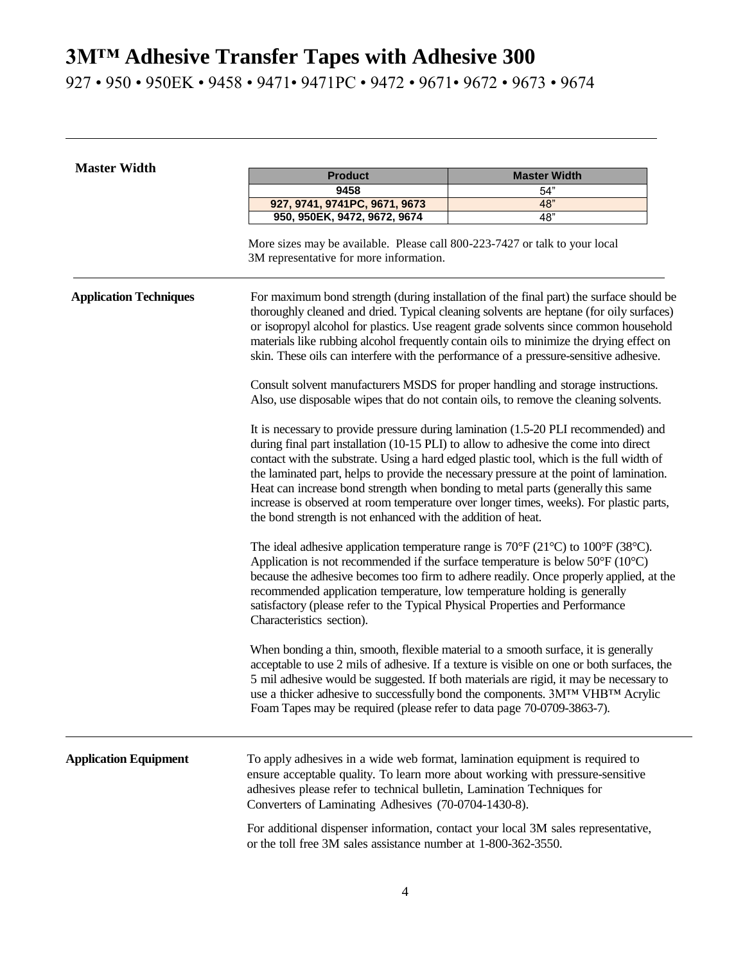927 • 950 • 950EK • 9458 • 9471• 9471PC • 9472 • 9671• 9672 • 9673 • 9674

| <b>Master Width</b>           | <b>Product</b><br><b>Master Width</b>                                                                                                                                                                                                                                                                                                                                                                                                                                                                                                                                                                          |                                                                                                                                                                                                                                                                                                                                                                                                                                                                |  |
|-------------------------------|----------------------------------------------------------------------------------------------------------------------------------------------------------------------------------------------------------------------------------------------------------------------------------------------------------------------------------------------------------------------------------------------------------------------------------------------------------------------------------------------------------------------------------------------------------------------------------------------------------------|----------------------------------------------------------------------------------------------------------------------------------------------------------------------------------------------------------------------------------------------------------------------------------------------------------------------------------------------------------------------------------------------------------------------------------------------------------------|--|
|                               | 9458                                                                                                                                                                                                                                                                                                                                                                                                                                                                                                                                                                                                           | 54"                                                                                                                                                                                                                                                                                                                                                                                                                                                            |  |
|                               | 927, 9741, 9741PC, 9671, 9673                                                                                                                                                                                                                                                                                                                                                                                                                                                                                                                                                                                  | 48"                                                                                                                                                                                                                                                                                                                                                                                                                                                            |  |
|                               | 950, 950EK, 9472, 9672, 9674                                                                                                                                                                                                                                                                                                                                                                                                                                                                                                                                                                                   | 48"                                                                                                                                                                                                                                                                                                                                                                                                                                                            |  |
|                               | More sizes may be available. Please call 800-223-7427 or talk to your local<br>3M representative for more information.                                                                                                                                                                                                                                                                                                                                                                                                                                                                                         |                                                                                                                                                                                                                                                                                                                                                                                                                                                                |  |
| <b>Application Techniques</b> |                                                                                                                                                                                                                                                                                                                                                                                                                                                                                                                                                                                                                | For maximum bond strength (during installation of the final part) the surface should be<br>thoroughly cleaned and dried. Typical cleaning solvents are heptane (for oily surfaces)<br>or isopropyl alcohol for plastics. Use reagent grade solvents since common household<br>materials like rubbing alcohol frequently contain oils to minimize the drying effect on<br>skin. These oils can interfere with the performance of a pressure-sensitive adhesive. |  |
|                               | Consult solvent manufacturers MSDS for proper handling and storage instructions.<br>Also, use disposable wipes that do not contain oils, to remove the cleaning solvents.                                                                                                                                                                                                                                                                                                                                                                                                                                      |                                                                                                                                                                                                                                                                                                                                                                                                                                                                |  |
|                               | It is necessary to provide pressure during lamination (1.5-20 PLI recommended) and<br>during final part installation (10-15 PLI) to allow to adhesive the come into direct<br>contact with the substrate. Using a hard edged plastic tool, which is the full width of<br>the laminated part, helps to provide the necessary pressure at the point of lamination.<br>Heat can increase bond strength when bonding to metal parts (generally this same<br>increase is observed at room temperature over longer times, weeks). For plastic parts,<br>the bond strength is not enhanced with the addition of heat. |                                                                                                                                                                                                                                                                                                                                                                                                                                                                |  |
|                               | The ideal adhesive application temperature range is $70^{\circ}$ F (21 $^{\circ}$ C) to 100 $^{\circ}$ F (38 $^{\circ}$ C).<br>Application is not recommended if the surface temperature is below $50^{\circ}$ F (10 $^{\circ}$ C)<br>recommended application temperature, low temperature holding is generally<br>satisfactory (please refer to the Typical Physical Properties and Performance<br>Characteristics section).                                                                                                                                                                                  | because the adhesive becomes too firm to adhere readily. Once properly applied, at the                                                                                                                                                                                                                                                                                                                                                                         |  |
|                               | When bonding a thin, smooth, flexible material to a smooth surface, it is generally<br>Foam Tapes may be required (please refer to data page 70-0709-3863-7).                                                                                                                                                                                                                                                                                                                                                                                                                                                  | acceptable to use 2 mils of adhesive. If a texture is visible on one or both surfaces, the<br>5 mil adhesive would be suggested. If both materials are rigid, it may be necessary to<br>use a thicker adhesive to successfully bond the components. 3MTM VHBTM Acrylic                                                                                                                                                                                         |  |
| <b>Application Equipment</b>  | To apply adhesives in a wide web format, lamination equipment is required to<br>ensure acceptable quality. To learn more about working with pressure-sensitive<br>adhesives please refer to technical bulletin, Lamination Techniques for<br>Converters of Laminating Adhesives (70-0704-1430-8).                                                                                                                                                                                                                                                                                                              |                                                                                                                                                                                                                                                                                                                                                                                                                                                                |  |
|                               | For additional dispenser information, contact your local 3M sales representative,<br>or the toll free 3M sales assistance number at 1-800-362-3550.                                                                                                                                                                                                                                                                                                                                                                                                                                                            |                                                                                                                                                                                                                                                                                                                                                                                                                                                                |  |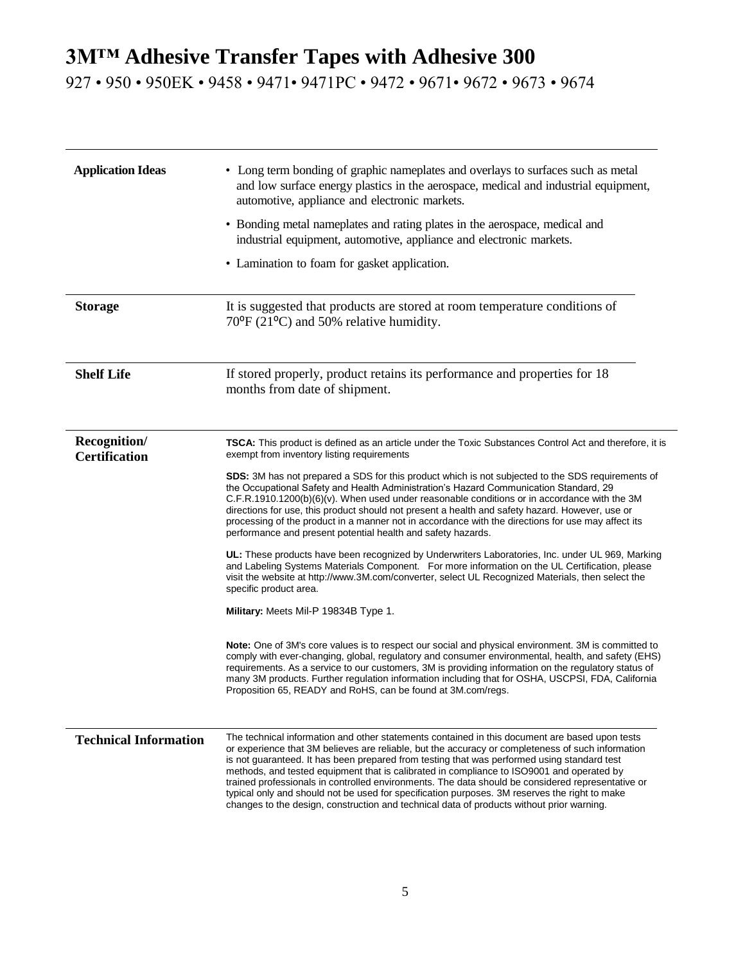927 • 950 • 950EK • 9458 • 9471• 9471PC • 9472 • 9671• 9672 • 9673 • 9674

| <b>Application Ideas</b>             | • Long term bonding of graphic nameplates and overlays to surfaces such as metal<br>and low surface energy plastics in the aerospace, medical and industrial equipment,<br>automotive, appliance and electronic markets.<br>• Bonding metal nameplates and rating plates in the aerospace, medical and<br>industrial equipment, automotive, appliance and electronic markets.<br>• Lamination to foam for gasket application.                                                                                                                                                                                                                                                                                                                                                                                                                                                                                                                                                                                                                                                                                                                                                                                                                                                                                                                                                                                                                                                                                                                                                                          |
|--------------------------------------|--------------------------------------------------------------------------------------------------------------------------------------------------------------------------------------------------------------------------------------------------------------------------------------------------------------------------------------------------------------------------------------------------------------------------------------------------------------------------------------------------------------------------------------------------------------------------------------------------------------------------------------------------------------------------------------------------------------------------------------------------------------------------------------------------------------------------------------------------------------------------------------------------------------------------------------------------------------------------------------------------------------------------------------------------------------------------------------------------------------------------------------------------------------------------------------------------------------------------------------------------------------------------------------------------------------------------------------------------------------------------------------------------------------------------------------------------------------------------------------------------------------------------------------------------------------------------------------------------------|
| <b>Storage</b>                       | It is suggested that products are stored at room temperature conditions of<br>$70^{\circ}$ F (21 $^{\circ}$ C) and 50% relative humidity.                                                                                                                                                                                                                                                                                                                                                                                                                                                                                                                                                                                                                                                                                                                                                                                                                                                                                                                                                                                                                                                                                                                                                                                                                                                                                                                                                                                                                                                              |
| <b>Shelf Life</b>                    | If stored properly, product retains its performance and properties for 18<br>months from date of shipment.                                                                                                                                                                                                                                                                                                                                                                                                                                                                                                                                                                                                                                                                                                                                                                                                                                                                                                                                                                                                                                                                                                                                                                                                                                                                                                                                                                                                                                                                                             |
| Recognition/<br><b>Certification</b> | TSCA: This product is defined as an article under the Toxic Substances Control Act and therefore, it is<br>exempt from inventory listing requirements<br>SDS: 3M has not prepared a SDS for this product which is not subjected to the SDS requirements of<br>the Occupational Safety and Health Administration's Hazard Communication Standard, 29<br>$C.F.R.1910.1200(b)(6)(v)$ . When used under reasonable conditions or in accordance with the 3M<br>directions for use, this product should not present a health and safety hazard. However, use or<br>processing of the product in a manner not in accordance with the directions for use may affect its<br>performance and present potential health and safety hazards.<br>UL: These products have been recognized by Underwriters Laboratories, Inc. under UL 969, Marking<br>and Labeling Systems Materials Component. For more information on the UL Certification, please<br>visit the website at http://www.3M.com/converter, select UL Recognized Materials, then select the<br>specific product area.<br>Military: Meets Mil-P 19834B Type 1.<br>Note: One of 3M's core values is to respect our social and physical environment. 3M is committed to<br>comply with ever-changing, global, regulatory and consumer environmental, health, and safety (EHS)<br>requirements. As a service to our customers, 3M is providing information on the regulatory status of<br>many 3M products. Further regulation information including that for OSHA, USCPSI, FDA, California<br>Proposition 65, READY and RoHS, can be found at 3M.com/regs. |
| <b>Technical Information</b>         | The technical information and other statements contained in this document are based upon tests<br>or experience that 3M believes are reliable, but the accuracy or completeness of such information<br>is not guaranteed. It has been prepared from testing that was performed using standard test<br>methods, and tested equipment that is calibrated in compliance to ISO9001 and operated by<br>trained professionals in controlled environments. The data should be considered representative or<br>typical only and should not be used for specification purposes. 3M reserves the right to make<br>changes to the design, construction and technical data of products without prior warning.                                                                                                                                                                                                                                                                                                                                                                                                                                                                                                                                                                                                                                                                                                                                                                                                                                                                                                     |